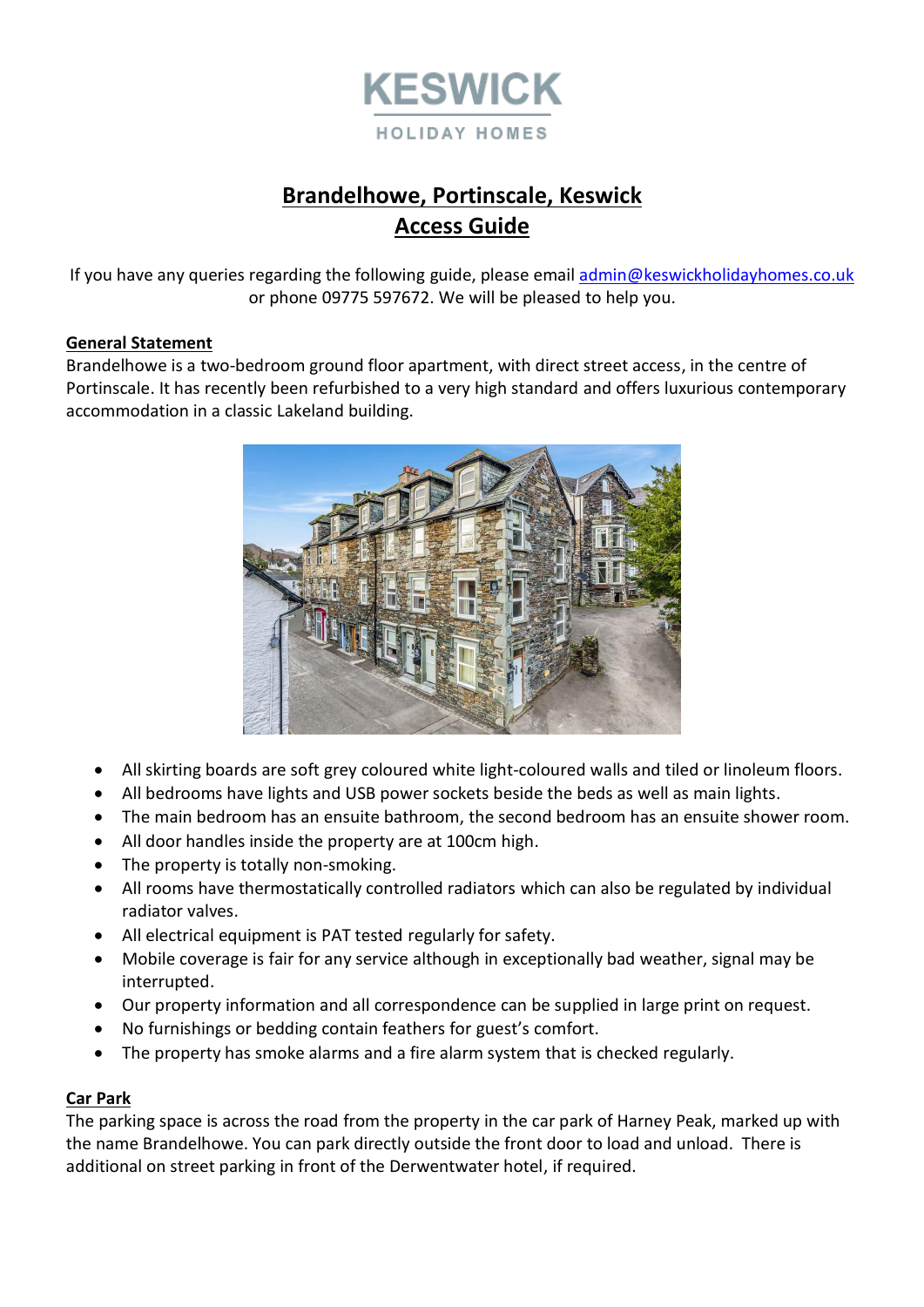

# **Brandelhowe, Portinscale, Keswick Access Guide**

If you have any queries regarding the following guide, please email [admin@keswickholidayhomes.co.uk](mailto:admin@keswickholidayhomes.co.uk) or phone 09775 597672. We will be pleased to help you.

## **General Statement**

Brandelhowe is a two-bedroom ground floor apartment, with direct street access, in the centre of Portinscale. It has recently been refurbished to a very high standard and offers luxurious contemporary accommodation in a classic Lakeland building.



- All skirting boards are soft grey coloured white light-coloured walls and tiled or linoleum floors.
- All bedrooms have lights and USB power sockets beside the beds as well as main lights.
- The main bedroom has an ensuite bathroom, the second bedroom has an ensuite shower room.
- All door handles inside the property are at 100cm high.
- The property is totally non-smoking.
- All rooms have thermostatically controlled radiators which can also be regulated by individual radiator valves.
- All electrical equipment is PAT tested regularly for safety.
- Mobile coverage is fair for any service although in exceptionally bad weather, signal may be interrupted.
- Our property information and all correspondence can be supplied in large print on request.
- No furnishings or bedding contain feathers for guest's comfort.
- The property has smoke alarms and a fire alarm system that is checked regularly.

# **Car Park**

The parking space is across the road from the property in the car park of Harney Peak, marked up with the name Brandelhowe. You can park directly outside the front door to load and unload. There is additional on street parking in front of the Derwentwater hotel, if required.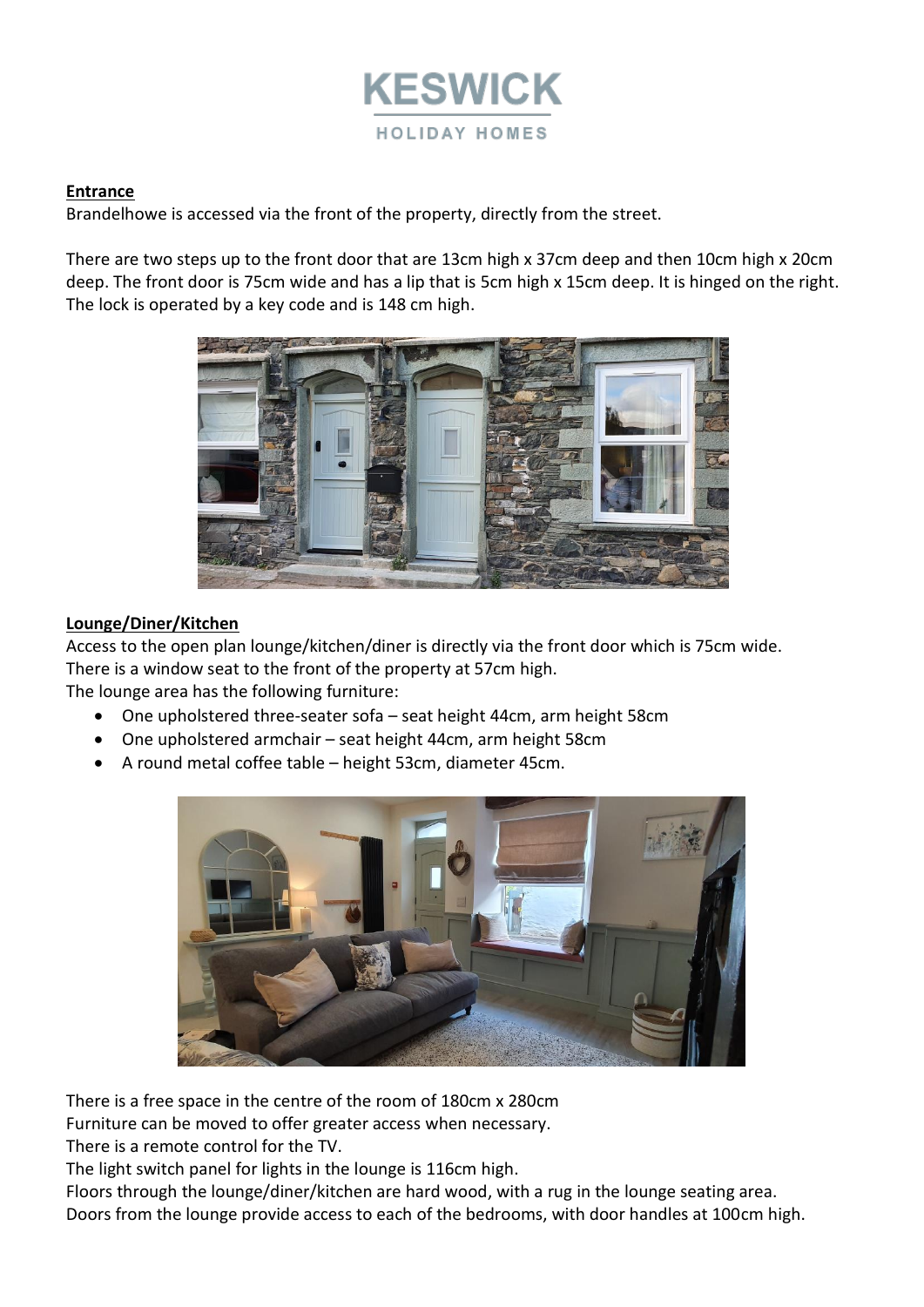

## **Entrance**

Brandelhowe is accessed via the front of the property, directly from the street.

There are two steps up to the front door that are 13cm high x 37cm deep and then 10cm high x 20cm deep. The front door is 75cm wide and has a lip that is 5cm high x 15cm deep. It is hinged on the right. The lock is operated by a key code and is 148 cm high.



# **Lounge/Diner/Kitchen**

Access to the open plan lounge/kitchen/diner is directly via the front door which is 75cm wide. There is a window seat to the front of the property at 57cm high. The lounge area has the following furniture:

- One upholstered three-seater sofa seat height 44cm, arm height 58cm
- One upholstered armchair seat height 44cm, arm height 58cm
- A round metal coffee table height 53cm, diameter 45cm.



There is a free space in the centre of the room of 180cm x 280cm

Furniture can be moved to offer greater access when necessary.

There is a remote control for the TV.

The light switch panel for lights in the lounge is 116cm high.

Floors through the lounge/diner/kitchen are hard wood, with a rug in the lounge seating area. Doors from the lounge provide access to each of the bedrooms, with door handles at 100cm high.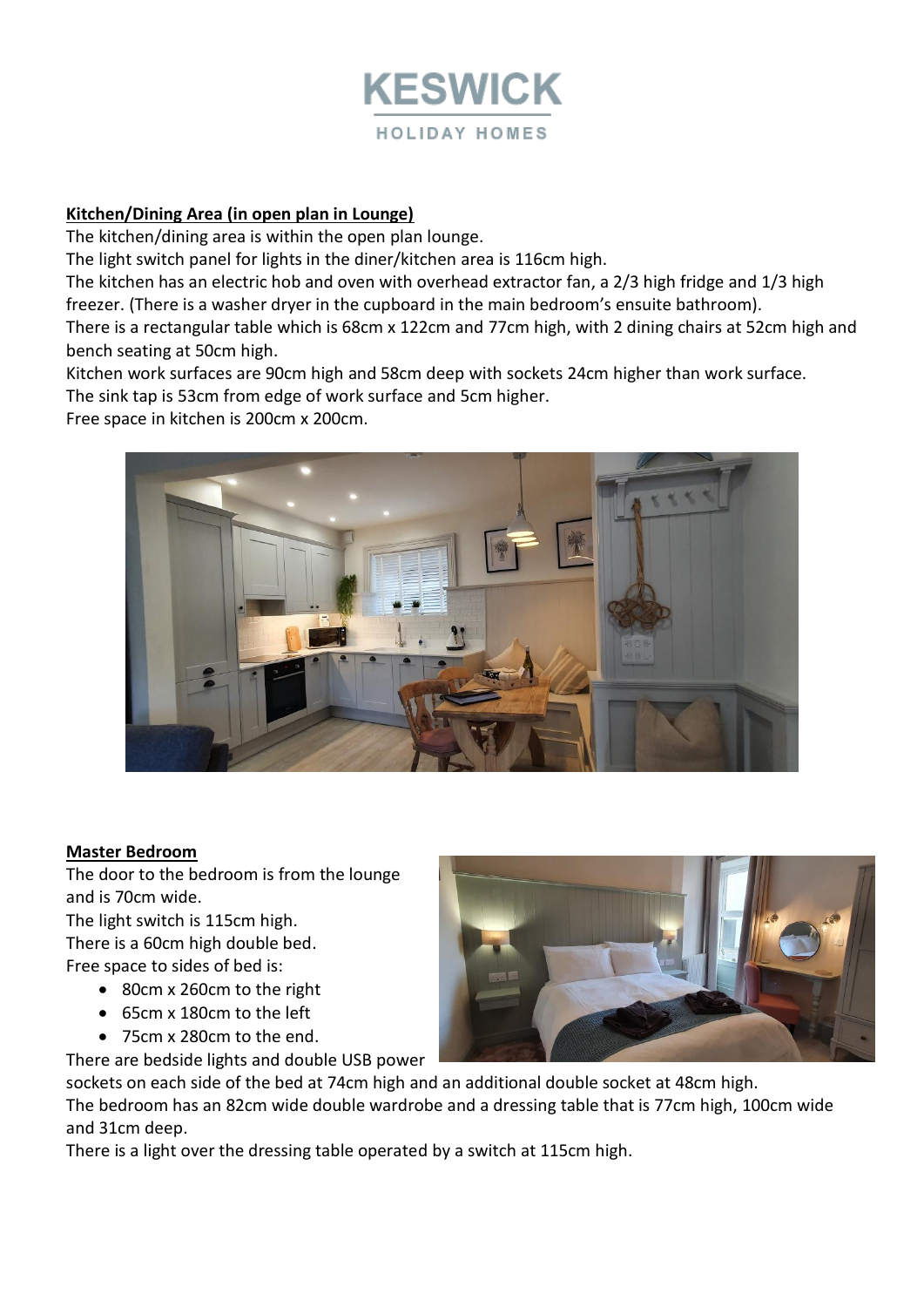

# **Kitchen/Dining Area (in open plan in Lounge)**

The kitchen/dining area is within the open plan lounge.

The light switch panel for lights in the diner/kitchen area is 116cm high.

The kitchen has an electric hob and oven with overhead extractor fan, a 2/3 high fridge and 1/3 high freezer. (There is a washer dryer in the cupboard in the main bedroom's ensuite bathroom).

There is a rectangular table which is 68cm x 122cm and 77cm high, with 2 dining chairs at 52cm high and bench seating at 50cm high.

Kitchen work surfaces are 90cm high and 58cm deep with sockets 24cm higher than work surface. The sink tap is 53cm from edge of work surface and 5cm higher.

Free space in kitchen is 200cm x 200cm.



#### **Master Bedroom**

The door to the bedroom is from the lounge and is 70cm wide.

The light switch is 115cm high.

There is a 60cm high double bed. Free space to sides of bed is:

- 80cm x 260cm to the right
- 65cm x 180cm to the left
- 75cm x 280cm to the end.

There are bedside lights and double USB power

sockets on each side of the bed at 74cm high and an additional double socket at 48cm high. The bedroom has an 82cm wide double wardrobe and a dressing table that is 77cm high, 100cm wide and 31cm deep.

There is a light over the dressing table operated by a switch at 115cm high.

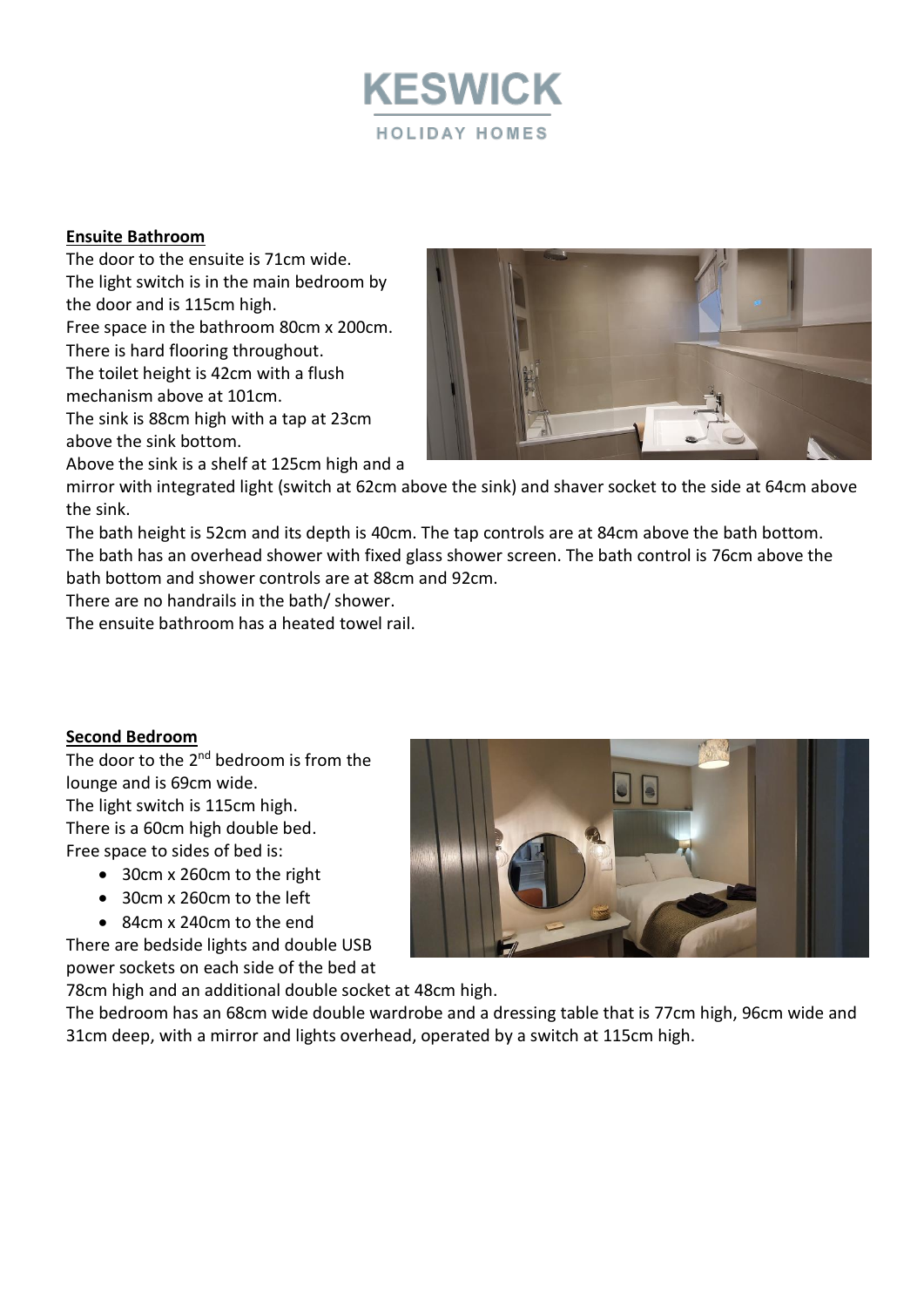

# **Ensuite Bathroom**

The door to the ensuite is 71cm wide. The light switch is in the main bedroom by the door and is 115cm high. Free space in the bathroom 80cm x 200cm. There is hard flooring throughout.

The toilet height is 42cm with a flush mechanism above at 101cm.

The sink is 88cm high with a tap at 23cm above the sink bottom.

Above the sink is a shelf at 125cm high and a



mirror with integrated light (switch at 62cm above the sink) and shaver socket to the side at 64cm above the sink.

The bath height is 52cm and its depth is 40cm. The tap controls are at 84cm above the bath bottom. The bath has an overhead shower with fixed glass shower screen. The bath control is 76cm above the bath bottom and shower controls are at 88cm and 92cm.

There are no handrails in the bath/ shower.

The ensuite bathroom has a heated towel rail.

# **Second Bedroom**

The door to the 2<sup>nd</sup> bedroom is from the lounge and is 69cm wide. The light switch is 115cm high. There is a 60cm high double bed. Free space to sides of bed is:

- 30cm x 260cm to the right
- 30cm x 260cm to the left
- 84cm x 240cm to the end

There are bedside lights and double USB power sockets on each side of the bed at

78cm high and an additional double socket at 48cm high.

The bedroom has an 68cm wide double wardrobe and a dressing table that is 77cm high, 96cm wide and 31cm deep, with a mirror and lights overhead, operated by a switch at 115cm high.